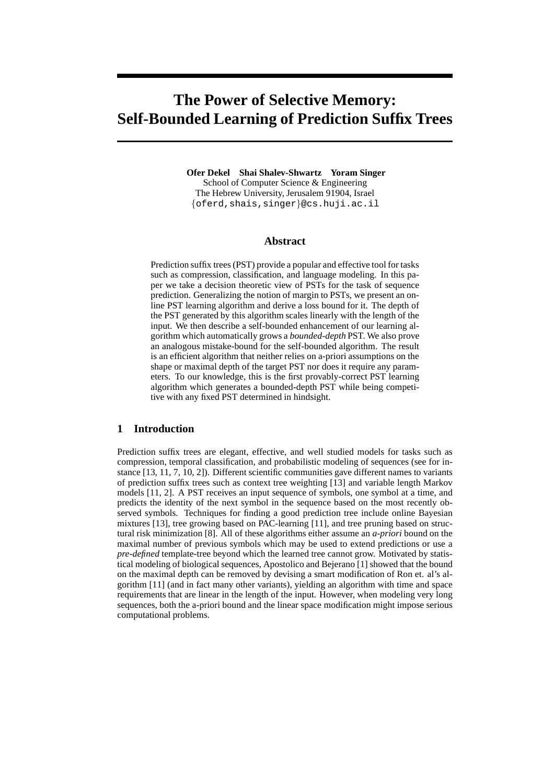# **The Power of Selective Memory: Self-Bounded Learning of Prediction Suffix Trees**

**Ofer Dekel Shai Shalev-Shwartz Yoram Singer** School of Computer Science & Engineering The Hebrew University, Jerusalem 91904, Israel {oferd,shais,singer}@cs.huji.ac.il

## **Abstract**

Prediction suffix trees (PST) provide a popular and effective tool for tasks such as compression, classification, and language modeling. In this paper we take a decision theoretic view of PSTs for the task of sequence prediction. Generalizing the notion of margin to PSTs, we present an online PST learning algorithm and derive a loss bound for it. The depth of the PST generated by this algorithm scales linearly with the length of the input. We then describe a self-bounded enhancement of our learning algorithm which automatically grows a *bounded-depth* PST. We also prove an analogous mistake-bound for the self-bounded algorithm. The result is an efficient algorithm that neither relies on a-priori assumptions on the shape or maximal depth of the target PST nor does it require any parameters. To our knowledge, this is the first provably-correct PST learning algorithm which generates a bounded-depth PST while being competitive with any fixed PST determined in hindsight.

## **1 Introduction**

Prediction suffix trees are elegant, effective, and well studied models for tasks such as compression, temporal classification, and probabilistic modeling of sequences (see for instance [13, 11, 7, 10, 2]). Different scientific communities gave different names to variants of prediction suffix trees such as context tree weighting [13] and variable length Markov models [11, 2]. A PST receives an input sequence of symbols, one symbol at a time, and predicts the identity of the next symbol in the sequence based on the most recently observed symbols. Techniques for finding a good prediction tree include online Bayesian mixtures [13], tree growing based on PAC-learning [11], and tree pruning based on structural risk minimization [8]. All of these algorithms either assume an *a-priori* bound on the maximal number of previous symbols which may be used to extend predictions or use a *pre-defined* template-tree beyond which the learned tree cannot grow. Motivated by statistical modeling of biological sequences, Apostolico and Bejerano [1] showed that the bound on the maximal depth can be removed by devising a smart modification of Ron et. al's algorithm [11] (and in fact many other variants), yielding an algorithm with time and space requirements that are linear in the length of the input. However, when modeling very long sequences, both the a-priori bound and the linear space modification might impose serious computational problems.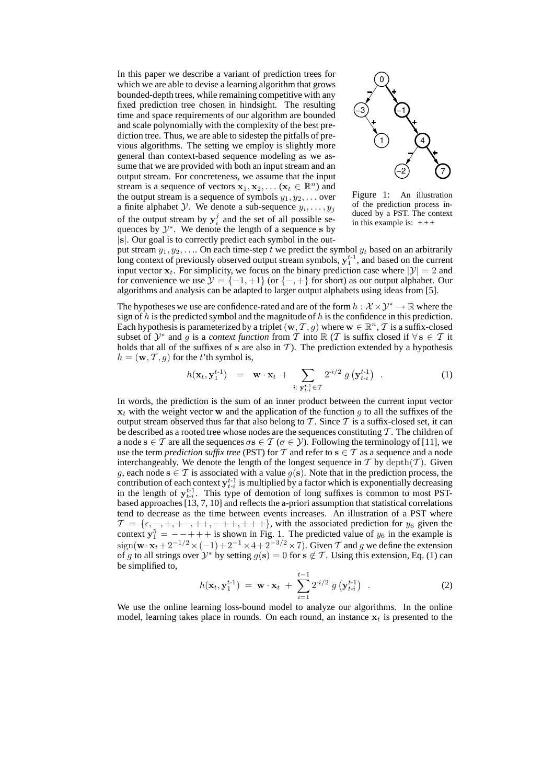In this paper we describe a variant of prediction trees for which we are able to devise a learning algorithm that grows bounded-depth trees, while remaining competitive with any fixed prediction tree chosen in hindsight. The resulting time and space requirements of our algorithm are bounded and scale polynomially with the complexity of the best prediction tree. Thus, we are able to sidestep the pitfalls of previous algorithms. The setting we employ is slightly more general than context-based sequence modeling as we assume that we are provided with both an input stream and an output stream. For concreteness, we assume that the input stream is a sequence of vectors  $\mathbf{x}_1, \mathbf{x}_2, \dots$  ( $\mathbf{x}_t \in \mathbb{R}^n$ ) and the output stream is a sequence of symbols  $y_1, y_2, \ldots$  over a finite alphabet *Y*. We denote a sub-sequence  $y_i, \ldots, y_j$ of the output stream by  $y_i^j$  and the set of all possible sequences by  $\mathcal{Y}^*$ . We denote the length of a sequence s by |s|. Our goal is to correctly predict each symbol in the out-



Figure 1: An illustration of the prediction process induced by a PST. The context in this example is:  $+++$ 

put stream  $y_1, y_2, \ldots$  On each time-step t we predict the symbol  $y_t$  based on an arbitrarily long context of previously observed output stream symbols,  $y_1^{t-1}$ , and based on the current input vector  $x_t$ . For simplicity, we focus on the binary prediction case where  $|\mathcal{Y}| = 2$  and for convenience we use  $\mathcal{Y} = \{-1, +1\}$  (or  $\{-, +\}$  for short) as our output alphabet. Our algorithms and analysis can be adapted to larger output alphabets using ideas from [5].

The hypotheses we use are confidence-rated and are of the form  $h : \mathcal{X} \times \mathcal{Y}^* \to \mathbb{R}$  where the sign of h is the predicted symbol and the magnitude of h is the confidence in this prediction. Each hypothesis is parameterized by a triplet  $(\mathbf{w}, \mathcal{T}, g)$  where  $\mathbf{w} \in \mathbb{R}^n$ ,  $\mathcal{T}$  is a suffix-closed subset of  $\mathcal{Y}^*$  and g is a *context function* from T into R (T is suffix closed if  $\forall s \in T$  it holds that all of the suffixes of s are also in  $T$ ). The prediction extended by a hypothesis  $h = (\mathbf{w}, \mathcal{T}, g)$  for the t'th symbol is,

$$
h(\mathbf{x}_t, \mathbf{y}_1^{t-1}) = \mathbf{w} \cdot \mathbf{x}_t + \sum_{i: \; \mathbf{y}_{t-i}^{t-1} \in \mathcal{T}} 2^{i/2} \; g\left(\mathbf{y}_{t-i}^{t-1}\right) \; . \tag{1}
$$

In words, the prediction is the sum of an inner product between the current input vector  $x_t$  with the weight vector w and the application of the function g to all the suffixes of the output stream observed thus far that also belong to  $\mathcal T$ . Since  $\mathcal T$  is a suffix-closed set, it can be described as a rooted tree whose nodes are the sequences constituting  $T$ . The children of a node  $s \in \mathcal{T}$  are all the sequences  $\sigma s \in \mathcal{T}$  ( $\sigma \in \mathcal{Y}$ ). Following the terminology of [11], we use the term *prediction suffix tree* (PST) for T and refer to  $s \in T$  as a sequence and a node interchangeably. We denote the length of the longest sequence in  $T$  by  $\text{depth}(T)$ . Given g, each node  $s \in \mathcal{T}$  is associated with a value  $g(s)$ . Note that in the prediction process, the contribution of each context  $y_{t-i}^{t-1}$  is multiplied by a factor which is exponentially decreasing in the length of  $y_{t-i}^{t-1}$ . This type of demotion of long suffixes is common to most PSTbased approaches [13, 7, 10] and reflects the a-priori assumption that statistical correlations tend to decrease as the time between events increases. An illustration of a PST where  $\mathcal{T} = \{\epsilon, -, +, +-, ++, -+, +, +\}$ , with the associated prediction for  $y_6$  given the context  $y_1^5 = -++$  is shown in Fig. 1. The predicted value of  $y_6$  in the example is  $sign(\mathbf{w}\cdot\mathbf{x}_t + 2^{-1/2} \times (-1) + 2^{-1} \times 4 + 2^{-3/2} \times 7)$ . Given T and g we define the extension of g to all strings over  $\mathcal{Y}^*$  by setting  $g(s) = 0$  for  $s \notin \mathcal{T}$ . Using this extension, Eq. (1) can be simplified to,

$$
h(\mathbf{x}_t, \mathbf{y}_1^{t-1}) = \mathbf{w} \cdot \mathbf{x}_t + \sum_{i=1}^{t-1} 2^{-i/2} g(\mathbf{y}_{t-i}^{t-1}) \quad . \tag{2}
$$

We use the online learning loss-bound model to analyze our algorithms. In the online model, learning takes place in rounds. On each round, an instance  $x_t$  is presented to the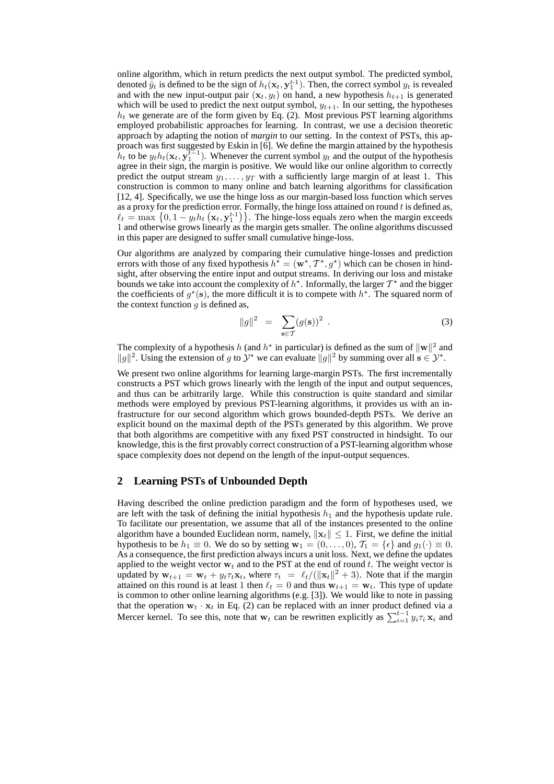online algorithm, which in return predicts the next output symbol. The predicted symbol, denoted  $\tilde{y}_t$  is defined to be the sign of  $h_t(\mathbf{x}_t, \mathbf{y}_1^{t-1})$ . Then, the correct symbol  $y_t$  is revealed and with the new input-output pair  $(\mathbf{x}_t, y_t)$  on hand, a new hypothesis  $h_{t+1}$  is generated which will be used to predict the next output symbol,  $y_{t+1}$ . In our setting, the hypotheses  $h_t$  we generate are of the form given by Eq. (2). Most previous PST learning algorithms employed probabilistic approaches for learning. In contrast, we use a decision theoretic approach by adapting the notion of *margin* to our setting. In the context of PSTs, this approach was first suggested by Eskin in [6]. We define the margin attained by the hypothesis  $h_t$  to be  $y_t h_t(\mathbf{x}_t, \mathbf{y}_1^{\mathcal{U}-1})$ . Whenever the current symbol  $y_t$  and the output of the hypothesis agree in their sign, the margin is positive. We would like our online algorithm to correctly predict the output stream  $y_1, \ldots, y_T$  with a sufficiently large margin of at least 1. This construction is common to many online and batch learning algorithms for classification [12, 4]. Specifically, we use the hinge loss as our margin-based loss function which serves as a proxy for the prediction error. Formally, the hinge loss attained on round  $t$  is defined as,  $\ell_t = \max \left\{ 0, 1 - y_t h_t \left( \mathbf{x}_t, \mathbf{y}_1^{t-1} \right) \right\}$ . The hinge-loss equals zero when the margin exceeds 1 and otherwise grows linearly as the margin gets smaller. The online algorithms discussed in this paper are designed to suffer small cumulative hinge-loss.

Our algorithms are analyzed by comparing their cumulative hinge-losses and prediction errors with those of any fixed hypothesis  $h^* = (\mathbf{w}^*, T^*, g^*)$  which can be chosen in hindsight, after observing the entire input and output streams. In deriving our loss and mistake bounds we take into account the complexity of  $h^*$ . Informally, the larger  $T^*$  and the bigger the coefficients of  $g^*(s)$ , the more difficult it is to compete with  $h^*$ . The squared norm of the context function  $q$  is defined as,

$$
||g||^2 = \sum_{\mathbf{s} \in \mathcal{T}} (g(\mathbf{s}))^2 . \tag{3}
$$

The complexity of a hypothesis h (and  $h^*$  in particular) is defined as the sum of  $||\mathbf{w}||^2$  and  $||g||^2$ . Using the extension of g to  $\mathcal{Y}^*$  we can evaluate  $||g||^2$  by summing over all s ∈  $\mathcal{Y}^*$ .

We present two online algorithms for learning large-margin PSTs. The first incrementally constructs a PST which grows linearly with the length of the input and output sequences, and thus can be arbitrarily large. While this construction is quite standard and similar methods were employed by previous PST-learning algorithms, it provides us with an infrastructure for our second algorithm which grows bounded-depth PSTs. We derive an explicit bound on the maximal depth of the PSTs generated by this algorithm. We prove that both algorithms are competitive with any fixed PST constructed in hindsight. To our knowledge, this is the first provably correct construction of a PST-learning algorithm whose space complexity does not depend on the length of the input-output sequences.

## **2 Learning PSTs of Unbounded Depth**

Having described the online prediction paradigm and the form of hypotheses used, we are left with the task of defining the initial hypothesis  $h_1$  and the hypothesis update rule. To facilitate our presentation, we assume that all of the instances presented to the online algorithm have a bounded Euclidean norm, namely,  $\|\mathbf{x}_t\| \leq 1$ . First, we define the initial hypothesis to be  $h_1 \equiv 0$ . We do so by setting  $\mathbf{w}_1 = (0, \ldots, 0), T_1 = \{\epsilon\}$  and  $g_1(\cdot) \equiv 0$ . As a consequence, the first prediction always incurs a unit loss. Next, we define the updates applied to the weight vector  $w_t$  and to the PST at the end of round t. The weight vector is updated by  $\mathbf{w}_{t+1} = \mathbf{w}_t + y_t \tau_t \mathbf{x}_t$ , where  $\tau_t = \ell_t/(||\mathbf{x}_t||^2 + 3)$ . Note that if the margin attained on this round is at least 1 then  $\ell_t = 0$  and thus  $w_{t+1} = w_t$ . This type of update is common to other online learning algorithms (e.g. [3]). We would like to note in passing that the operation  $w_t \cdot x_t$  in Eq. (2) can be replaced with an inner product defined via a Mercer kernel. To see this, note that  $w_t$  can be rewritten explicitly as  $\sum_{i=1}^{t-1} y_i \tau_i \mathbf{x}_i$  and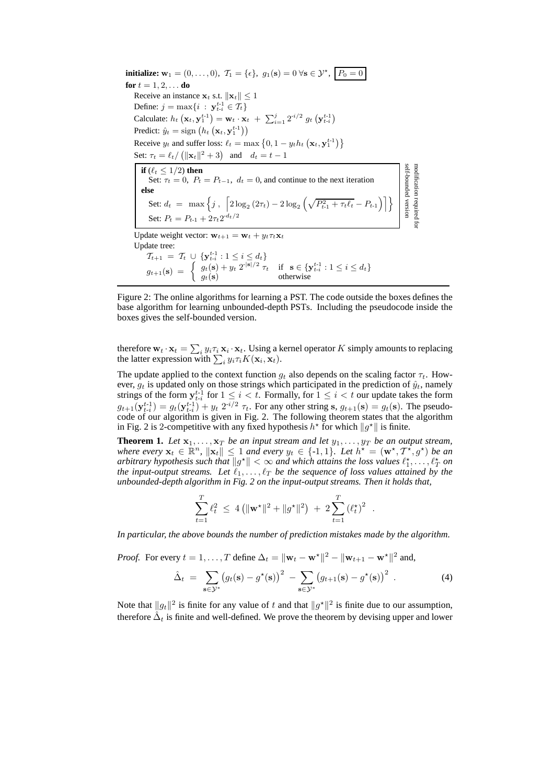**initialize:**  $w_1 = (0, \ldots, 0), \ T_1 = \{\epsilon\}, \ g_1(\mathbf{s}) = 0 \ \forall \mathbf{s} \in \mathcal{Y}^{\star}, \ P_0 = 0$ **for**  $t = 1, 2, ...$  **do** Receive an instance  $\mathbf{x}_t$  s.t.  $\|\mathbf{x}_t\| \leq 1$ Define:  $j = \max\{i : y_{t-i}^{t-1} \in T_t\}$ Calculate:  $h_t(\mathbf{x}_t, \mathbf{y}_1^{t-1}) = \mathbf{w}_t \cdot \mathbf{x}_t + \sum_{i=1}^j 2^{i/2} g_t(\mathbf{y}_{t-i}^{t-1})$ Predict:  $\hat{y}_t = \text{sign} \left( h_t \left( \mathbf{x}_t, \mathbf{y}_1^{t-1} \right) \right)$ Receive  $y_t$  and suffer loss:  $\ell_t = \max\left\{0, 1 - y_t h_t\left(\mathbf{x}_t, \mathbf{y}_1^{t-1}\right)\right\}$ Set:  $\tau_t = \ell_t / (||\mathbf{x}_t||^2 + 3)$  and  $d_t = t - 1$ self-bounded version modification required for **if**  $(\ell_t \leq 1/2)$  **then** self-bounded versior modification required Set:  $\tau_t = 0$ ,  $P_t = P_{t-1}$ ,  $d_t = 0$ , and continue to the next iteration **else** Set:  $d_t = \max \left\{ j , \left[ 2 \log_2(2\tau_t) - 2 \log_2 \left( \sqrt{P_{t-1}^2 + \tau_t \ell_t} - P_{t-1} \right) \right] \right\}$ Set:  $P_t = P_{t-1} + 2\tau_t 2^{-d_t/2}$ Update weight vector:  $\mathbf{w}_{t+1} = \mathbf{w}_t + y_t \tau_t \mathbf{x}_t$ Update tree:  $\mathcal{T}_{t+1} = \mathcal{T}_t \cup \{ \mathbf{y}_{t-i}^{t-1} : 1 \leq i \leq d_t \}$  $g_{t+1}(\mathbf{s}) = \begin{cases} g_t(\mathbf{s}) + y_t \; 2^{|\mathbf{s}|/2} \tau_t & \text{if } \mathbf{s} \in \{ \mathbf{y}_{t-i}^{t-1} : 1 \leq i \leq d_t \} \\ g_t(\mathbf{s}) & \text{otherwise} \end{cases}$  $g_t(\mathbf{s})$  otherwise

Figure 2: The online algorithms for learning a PST. The code outside the boxes defines the base algorithm for learning unbounded-depth PSTs. Including the pseudocode inside the boxes gives the self-bounded version.

therefore  $\mathbf{w}_t \cdot \mathbf{x}_t = \sum_i y_i \tau_i \mathbf{x}_i \cdot \mathbf{x}_t$ . Using a kernel operator K simply amounts to replacing the latter expression with  $\sum_i y_i \tau_i K(\mathbf{x}_i, \mathbf{x}_t)$ .

The update applied to the context function  $g_t$  also depends on the scaling factor  $\tau_t$ . However,  $g_t$  is updated only on those strings which participated in the prediction of  $\hat{y}_t$ , namely strings of the form  $y_{t-i}^{t-1}$  for  $1 \le i < t$ . Formally, for  $1 \le i < t$  our update takes the form  $g_{t+1}(\mathbf{y}_{t-i}^{t-1}) = g_t(\mathbf{y}_{t-i}^{t-1}) + y_t \ 2^{i/2} \ \tau_t$ . For any other string s,  $g_{t+1}(\mathbf{s}) = g_t(\mathbf{s})$ . The pseudocode of our algorithm is given in Fig. 2. The following theorem states that the algorithm in Fig. 2 is 2-competitive with any fixed hypothesis  $h^*$  for which  $||g^*||$  is finite.

**Theorem 1.** Let  $x_1, \ldots, x_T$  be an input stream and let  $y_1, \ldots, y_T$  be an output stream, *where every*  $\mathbf{x}_t \in \mathbb{R}^n$ ,  $\|\mathbf{x}_t\| \leq 1$  *and every*  $y_t \in \{-1, 1\}$ . Let  $h^* = (\mathbf{w}^*, \mathcal{T}^*, g^*)$  be an *arbitrary hypothesis such that*  $||g^*|| < \infty$  *and which attains the loss values*  $\ell_1^*, \ldots, \ell_T^*$  *on the input-output streams. Let*  $\ell_1, \ldots, \ell_T$  *be the sequence of loss values attained by the unbounded-depth algorithm in Fig. 2 on the input-output streams. Then it holds that,*

$$
\sum_{t=1}^T \ell_t^2 \ \leq \ 4 \left( \| \mathbf{w}^{\star} \|^2 + \| g^{\star} \|^2 \right) \ + \ 2 \sum_{t=1}^T \left( \ell_t^{\star} \right)^2 \ \ .
$$

*In particular, the above bounds the number of prediction mistakes made by the algorithm.*

*Proof.* For every  $t = 1, ..., T$  define  $\Delta_t = ||\mathbf{w}_t - \mathbf{w}^*||^2 - ||\mathbf{w}_{t+1} - \mathbf{w}^*||^2$  and,

$$
\hat{\Delta}_t = \sum_{\mathbf{s}\in\mathcal{Y}^*} (g_t(\mathbf{s}) - g^*(\mathbf{s}))^2 - \sum_{\mathbf{s}\in\mathcal{Y}^*} (g_{t+1}(\mathbf{s}) - g^*(\mathbf{s}))^2.
$$
 (4)

Note that  $||g_t||^2$  is finite for any value of t and that  $||g^*||^2$  is finite due to our assumption, therefore  $\hat{\Delta}_t$  is finite and well-defined. We prove the theorem by devising upper and lower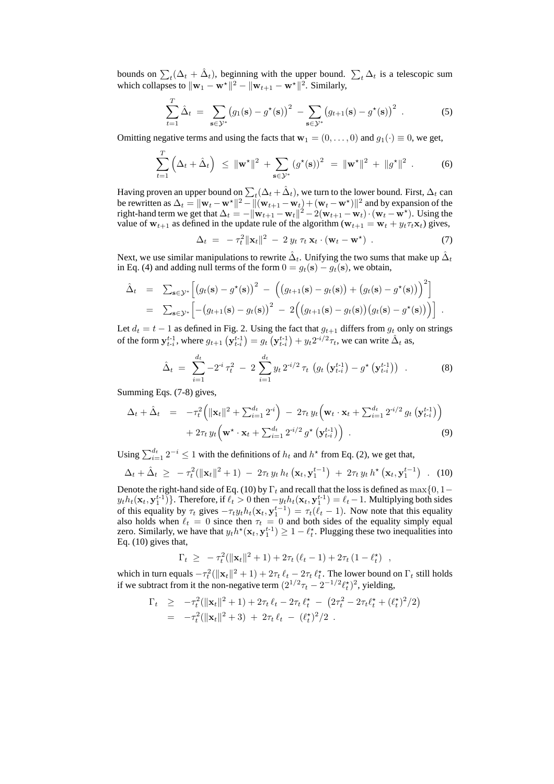bounds on  $\sum_{t}(\Delta_t + \hat{\Delta}_t)$ , beginning with the upper bound.  $\sum_{t} \Delta_t$  is a telescopic sum which collapses to  $\|\mathbf{w}_1 - \mathbf{w}^{\star}\|^2 - \|\mathbf{w}_{t+1} - \mathbf{w}^{\star}\|^2$ . Similarly,

$$
\sum_{t=1}^{T} \hat{\Delta}_t = \sum_{\mathbf{s} \in \mathcal{Y}^*} (g_1(\mathbf{s}) - g^*(\mathbf{s}))^2 - \sum_{\mathbf{s} \in \mathcal{Y}^*} (g_{t+1}(\mathbf{s}) - g^*(\mathbf{s}))^2.
$$
 (5)

Omitting negative terms and using the facts that  $\mathbf{w}_1 = (0, \dots, 0)$  and  $q_1(\cdot) \equiv 0$ , we get,

$$
\sum_{t=1}^{T} \left( \Delta_t + \hat{\Delta}_t \right) \leq ||\mathbf{w}^{\star}||^2 + \sum_{\mathbf{s} \in \mathcal{Y}^*} \left( g^{\star}(\mathbf{s}) \right)^2 = ||\mathbf{w}^{\star}||^2 + ||g^{\star}||^2.
$$
 (6)

Having proven an upper bound on  $\sum_t (\Delta_t + \hat{\Delta}_t)$ , we turn to the lower bound. First,  $\Delta_t$  can be rewritten as  $\Delta_t = ||\mathbf{w}_t - \mathbf{w}^*||^2 - ||(\mathbf{w}_{t+1} - \mathbf{w}_t) + (\mathbf{w}_t - \mathbf{w}^*)||^2$  and by expansion of the right-hand term we get that  $\Delta_t = -\|\mathbf{w}_{t+1} - \mathbf{w}_t\|^2 - 2(\mathbf{w}_{t+1} - \mathbf{w}_t) \cdot (\mathbf{w}_t - \mathbf{w}^*)$ . Using the value of  $w_{t+1}$  as defined in the update rule of the algorithm  $(w_{t+1} = w_t + y_t \tau_t \mathbf{x}_t)$  gives,

$$
\Delta_t = -\tau_t^2 \|\mathbf{x}_t\|^2 - 2 y_t \tau_t \mathbf{x}_t \cdot (\mathbf{w}_t - \mathbf{w}^\star) \tag{7}
$$

Next, we use similar manipulations to rewrite  $\hat{\Delta}_t$ . Unifying the two sums that make up  $\hat{\Delta}_t$ in Eq. (4) and adding null terms of the form  $0 = g_t(\mathbf{s}) - g_t(\mathbf{s})$ , we obtain,

$$
\hat{\Delta}_t = \sum_{\mathbf{s}\in\mathcal{Y}^*} \left[ \left( g_t(\mathbf{s}) - g^\star(\mathbf{s}) \right)^2 - \left( \left( g_{t+1}(\mathbf{s}) - g_t(\mathbf{s}) \right) + \left( g_t(\mathbf{s}) - g^\star(\mathbf{s}) \right) \right)^2 \right]
$$
\n
$$
= \sum_{\mathbf{s}\in\mathcal{Y}^*} \left[ -\left( g_{t+1}(\mathbf{s}) - g_t(\mathbf{s}) \right)^2 - 2 \left( \left( g_{t+1}(\mathbf{s}) - g_t(\mathbf{s}) \right) \left( g_t(\mathbf{s}) - g^\star(\mathbf{s}) \right) \right) \right].
$$

Let  $d_t = t - 1$  as defined in Fig. 2. Using the fact that  $g_{t+1}$  differs from  $g_t$  only on strings of the form  $y_{t-i}^{t-1}$ , where  $g_{t+1} (y_{t-i}^{t-1}) = g_t (y_{t-i}^{t-1}) + y_t 2^{i/2} \tau_t$ , we can write  $\hat{\Delta}_t$  as,

$$
\hat{\Delta}_t = \sum_{i=1}^{d_t} -2^{i} \tau_t^2 - 2 \sum_{i=1}^{d_t} y_t 2^{i/2} \tau_t \left( g_t \left( \mathbf{y}_{t-i}^{t-1} \right) - g^{\star} \left( \mathbf{y}_{t-i}^{t-1} \right) \right) \tag{8}
$$

Summing Eqs. (7-8) gives,

$$
\Delta_t + \hat{\Delta}_t = -\tau_t^2 \left( \|\mathbf{x}_t\|^2 + \sum_{i=1}^{d_t} 2^{-i} \right) - 2\tau_t y_t \left( \mathbf{w}_t \cdot \mathbf{x}_t + \sum_{i=1}^{d_t} 2^{-i/2} g_t \left( \mathbf{y}_{t-i}^{t-1} \right) \right) + 2\tau_t y_t \left( \mathbf{w}^* \cdot \mathbf{x}_t + \sum_{i=1}^{d_t} 2^{-i/2} g^* \left( \mathbf{y}_{t-i}^{t-1} \right) \right).
$$
\n(9)

Using  $\sum_{i=1}^{d_t} 2^{-i} \le 1$  with the definitions of  $h_t$  and  $h^*$  from Eq. (2), we get that,

$$
\Delta_t + \hat{\Delta}_t \geq -\tau_t^2 (\|\mathbf{x}_t\|^2 + 1) - 2\tau_t y_t h_t (\mathbf{x}_t, \mathbf{y}_1^{t-1}) + 2\tau_t y_t h^* (\mathbf{x}_t, \mathbf{y}_1^{t-1})
$$
 (10)

Denote the right-hand side of Eq. (10) by  $\Gamma_t$  and recall that the loss is defined as max $\{0, 1-\}$  $y_t h_t(\mathbf{x}_t, \mathbf{y}_1^{t-1})$ . Therefore, if  $\ell_t > 0$  then  $-y_t h_t(\mathbf{x}_t, \mathbf{y}_1^{t-1}) = \ell_t - 1$ . Multiplying both sides of this equality by  $\tau_t$  gives  $-\tau_t y_t h_t(\mathbf{x}_t, \mathbf{y}_1^{t-1}) = \tau_t(\ell_t - 1)$ . Now note that this equality also holds when  $\ell_t = 0$  since then  $\tau_t = 0$  and both sides of the equality simply equal zero. Similarly, we have that  $y_t h^*(\mathbf{x}_t, \mathbf{y}_1^{t-1}) \geq 1 - \ell_t^*$ . Plugging these two inequalities into Eq. (10) gives that,

$$
\Gamma_t \geq -\tau_t^2(\|\mathbf{x}_t\|^2 + 1) + 2\tau_t(\ell_t - 1) + 2\tau_t(1 - \ell_t^*) ,
$$

which in turn equals  $-\tau_t^2(\|\mathbf{x}_t\|^2 + 1) + 2\tau_t \ell_t - 2\tau_t \ell_t^*$ . The lower bound on  $\Gamma_t$  still holds if we subtract from it the non-negative term  $(2^{1/2}\tau_t - 2^{-1/2}\ell_t^*)^2$ , yielding,

$$
\Gamma_t \geq -\tau_t^2 (\|\mathbf{x}_t\|^2 + 1) + 2\tau_t \,\ell_t - 2\tau_t \,\ell_t^{\star} - (2\tau_t^2 - 2\tau_t \ell_t^{\star} + (\ell_t^{\star})^2/2) \n= -\tau_t^2 (\|\mathbf{x}_t\|^2 + 3) + 2\tau_t \,\ell_t - (\ell_t^{\star})^2/2.
$$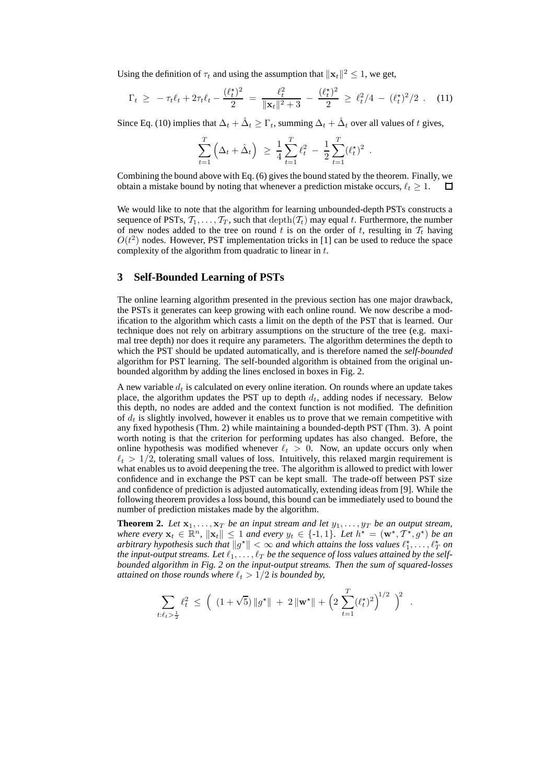Using the definition of  $\tau_t$  and using the assumption that  $||\mathbf{x}_t||^2 \leq 1$ , we get,

$$
\Gamma_t \geq -\tau_t \ell_t + 2\tau_t \ell_t - \frac{(\ell_t^*)^2}{2} = \frac{\ell_t^2}{\|\mathbf{x}_t\|^2 + 3} - \frac{(\ell_t^*)^2}{2} \geq \ell_t^2 / 4 - (\ell_t^*)^2 / 2 \quad (11)
$$

Since Eq. (10) implies that  $\Delta_t + \hat{\Delta}_t \ge \Gamma_t$ , summing  $\Delta_t + \hat{\Delta}_t$  over all values of t gives,

$$
\sum_{t=1}^T \left( \Delta_t + \hat{\Delta}_t \right) \ \geq \ \frac{1}{4} \sum_{t=1}^T \ell_t^2 \ - \ \frac{1}{2} \sum_{t=1}^T (\ell_t^{\star})^2 \ .
$$

Combining the bound above with Eq. (6) gives the bound stated by the theorem. Finally, we obtain a mistake bound by noting that whenever a prediction mistake occurs,  $\ell_t \geq 1$ .  $\Box$ 

We would like to note that the algorithm for learning unbounded-depth PSTs constructs a sequence of PSTs,  $T_1, \ldots, T_T$ , such that  $\operatorname{depth}(T_t)$  may equal t. Furthermore, the number of new nodes added to the tree on round t is on the order of t, resulting in  $\mathcal{T}_t$  having  $O(t^2)$  nodes. However, PST implementation tricks in [1] can be used to reduce the space complexity of the algorithm from quadratic to linear in t.

#### **3 Self-Bounded Learning of PSTs**

The online learning algorithm presented in the previous section has one major drawback, the PSTs it generates can keep growing with each online round. We now describe a modification to the algorithm which casts a limit on the depth of the PST that is learned. Our technique does not rely on arbitrary assumptions on the structure of the tree (e.g. maximal tree depth) nor does it require any parameters. The algorithm determines the depth to which the PST should be updated automatically, and is therefore named the *self-bounded* algorithm for PST learning. The self-bounded algorithm is obtained from the original unbounded algorithm by adding the lines enclosed in boxes in Fig. 2.

A new variable  $d_t$  is calculated on every online iteration. On rounds where an update takes place, the algorithm updates the PST up to depth  $d_t$ , adding nodes if necessary. Below this depth, no nodes are added and the context function is not modified. The definition of  $d_t$  is slightly involved, however it enables us to prove that we remain competitive with any fixed hypothesis (Thm. 2) while maintaining a bounded-depth PST (Thm. 3). A point worth noting is that the criterion for performing updates has also changed. Before, the online hypothesis was modified whenever  $\ell_t > 0$ . Now, an update occurs only when  $\ell_t > 1/2$ , tolerating small values of loss. Intuitively, this relaxed margin requirement is what enables us to avoid deepening the tree. The algorithm is allowed to predict with lower confidence and in exchange the PST can be kept small. The trade-off between PST size and confidence of prediction is adjusted automatically, extending ideas from [9]. While the following theorem provides a loss bound, this bound can be immediately used to bound the number of prediction mistakes made by the algorithm.

**Theorem 2.** Let  $x_1, \ldots, x_T$  *be an input stream and let*  $y_1, \ldots, y_T$  *be an output stream, where every*  $\mathbf{x}_t \in \mathbb{R}^n$ ,  $\|\mathbf{x}_t\| \leq 1$  *and every*  $y_t \in \{-1, 1\}$ . Let  $h^* = (\mathbf{w}^*, \mathcal{T}^*, g^*)$  be an *arbitrary hypothesis such that*  $||g^*|| < \infty$  *and which attains the loss values*  $\ell_1^*, \ldots, \ell_T^*$  *on* the input-output streams. Let  $\ell_1, \ldots, \ell_T$  be the sequence of loss values attained by the self*bounded algorithm in Fig. 2 on the input-output streams. Then the sum of squared-losses attained on those rounds where*  $\ell_t > 1/2$  *is bounded by,* 

$$
\sum_{t:\ell_t > \frac{1}{2}} \ell_t^2 \ \leq \ \Big( \ (1 + \sqrt{5}) \, \|g^{\star}\| \ + \ 2 \, \|{\mathbf{w}}^{\star}\| \ + \ \Big( 2 \, \sum_{t=1}^T (\ell_t^{\star})^2 \Big)^{1/2} \ \Big)^2
$$

.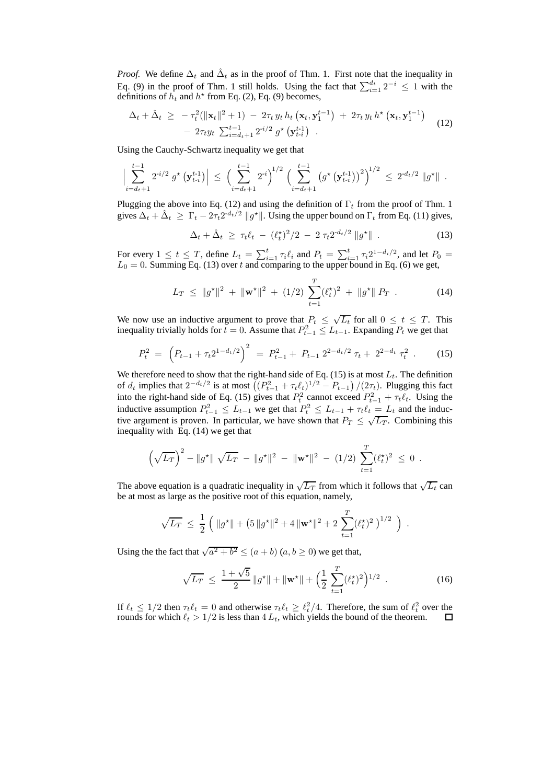*Proof.* We define  $\Delta_t$  and  $\hat{\Delta}_t$  as in the proof of Thm. 1. First note that the inequality in Eq. (9) in the proof of Thm. 1 still holds. Using the fact that  $\sum_{i=1}^{d_t} 2^{-i} \leq 1$  with the definitions of  $h_t$  and  $h^*$  from Eq. (2), Eq. (9) becomes,

$$
\Delta_t + \hat{\Delta}_t \geq -\tau_t^2 (\|\mathbf{x}_t\|^2 + 1) - 2\tau_t y_t h_t (\mathbf{x}_t, \mathbf{y}_1^{t-1}) + 2\tau_t y_t h^* (\mathbf{x}_t, \mathbf{y}_1^{t-1}) - 2\tau_t y_t \sum_{i=d_t+1}^{t-1} 2^{i/2} g^* (\mathbf{y}_{t-i}^{t-1})
$$
\n(12)

Using the Cauchy-Schwartz inequality we get that

$$
\Big|\sum_{i=d_t+1}^{t-1} 2^{i/2} g^{\star} \left(\mathbf{y}_{t-i}^{t-1}\right)\Big| \leq \Big(\sum_{i=d_t+1}^{t-1} 2^{i}\Big)^{1/2} \Big(\sum_{i=d_t+1}^{t-1} \left(g^{\star} \left(\mathbf{y}_{t-i}^{t-1}\right)\right)^{2}\Big)^{1/2} \leq 2^{-d_t/2} \|g^{\star}\|.
$$

Plugging the above into Eq. (12) and using the definition of  $\Gamma_t$  from the proof of Thm. 1 gives  $\Delta_t + \hat{\Delta}_t \ge \Gamma_t - 2\tau_t 2^{-d_t/2} ||g^*||$ . Using the upper bound on  $\Gamma_t$  from Eq. (11) gives,

$$
\Delta_t + \hat{\Delta}_t \ge \tau_t \ell_t - (\ell_t^*)^2 / 2 - 2 \tau_t 2^{d_t/2} \|g^*\| \tag{13}
$$

For every  $1 \leq t \leq T$ , define  $L_t = \sum_{i=1}^t \tau_i \ell_i$  and  $P_t = \sum_{i=1}^t \tau_i 2^{1-d_i/2}$ , and let  $P_0 =$  $L_0 = 0$ . Summing Eq. (13) over t and comparing to the upper bound in Eq. (6) we get,

$$
L_T \leq ||g^*||^2 + ||\mathbf{w}^*||^2 + (1/2) \sum_{t=1}^T (\ell_t^*)^2 + ||g^*|| P_T . \tag{14}
$$

We now use an inductive argument to prove that  $P_t \leq \sqrt{L_t}$  for all  $0 \leq t \leq T$ . This inequality trivially holds for  $t = 0$ . Assume that  $P_{t-1} \leq L_{t-1}$ . Expanding  $P_t$  we get that

$$
P_t^2 = \left(P_{t-1} + \tau_t 2^{1-d_t/2}\right)^2 = P_{t-1}^2 + P_{t-1} 2^{2-d_t/2} \tau_t + 2^{2-d_t} \tau_t^2 \ . \tag{15}
$$

We therefore need to show that the right-hand side of Eq. (15) is at most  $L_t$ . The definition of  $d_t$  implies that  $2^{-d_t/2}$  is at most  $((P_{t-1}^2 + \tau_t \ell_t)^{1/2} - P_{t-1})/(2\tau_t)$ . Plugging this fact into the right-hand side of Eq. (15) gives that  $P_t^2$  cannot exceed  $P_{t-1}^2 + \tau_t \ell_t$ . Using the inductive assumption  $P_{t-1}^2 \leq L_{t-1}$  we get that  $P_t^2 \leq L_{t-1} + \tau_t \ell_t = L_t$  and the inductive argument is proven. In particular, we have shown that  $P_T \leq \sqrt{L_T}$ . Combining this inequality with Eq. (14) we get that

$$
\left(\sqrt{L_T}\right)^2 - \|g^*\| \sqrt{L_T} - \|g^*\|^2 - \|w^*\|^2 - (1/2) \sum_{t=1}^T (\ell_t^*)^2 \leq 0.
$$

The above equation is a quadratic inequality in  $\sqrt{L_T}$  from which it follows that  $\sqrt{L_t}$  can be at most as large as the positive root of this equation, namely,

$$
\sqrt{L_T} \leq \frac{1}{2} \left( \|g^{\star}\| + \left(5\|g^{\star}\|^2 + 4\|{\bf w}^{\star}\|^2 + 2\sum_{t=1}^T (\ell_t^{\star})^2 \right)^{1/2} \right)
$$

Using the the fact that  $\sqrt{a^2 + b^2} \le (a + b)$   $(a, b \ge 0)$  we get that,

$$
\sqrt{L_T} \le \frac{1+\sqrt{5}}{2} \|g^*\| + \|\mathbf{w}^*\| + \left(\frac{1}{2} \sum_{t=1}^T (\ell_t^*)^2\right)^{1/2} . \tag{16}
$$

.

If  $\ell_t \leq 1/2$  then  $\tau_t \ell_t = 0$  and otherwise  $\tau_t \ell_t \geq \ell_t^2/4$ . Therefore, the sum of  $\ell_t^2$  over the rounds for which  $\ell_t > 1/2$  is less than  $4 L_t$ , which yields the bound of the theorem.